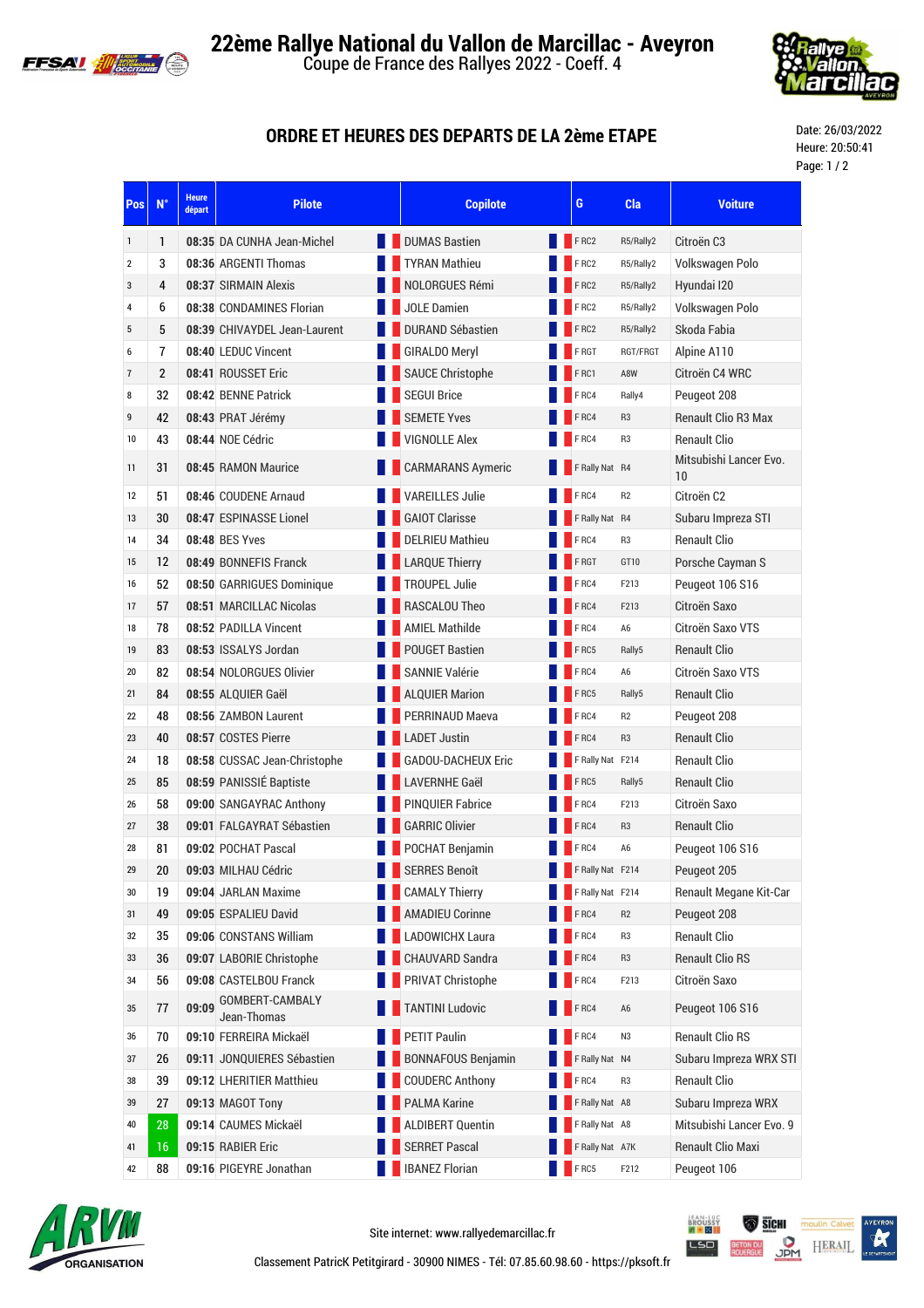



## **ORDRE ET HEURES DES DEPARTS DE LA 2ème ETAPE**

Date: 26/03/2022 Heure: 20:50:41 Page: 1 / 2

| Pos                     | $N^{\circ}$    | <b>Heure</b><br><b>Pilote</b><br>départ |                        | <b>Copilote</b>           | G                | Cla            | <b>Voiture</b>               |
|-------------------------|----------------|-----------------------------------------|------------------------|---------------------------|------------------|----------------|------------------------------|
| 1                       | 1              | 08:35 DA CUNHA Jean-Michel              | <b>DUMAS Bastien</b>   |                           | FRC2             | R5/Rally2      | Citroën C <sub>3</sub>       |
| $\overline{\mathbf{c}}$ | 3              | 08:36 ARGENTI Thomas                    | <b>TYRAN Mathieu</b>   |                           | FRC2             | R5/Rally2      | Volkswagen Polo              |
| 3                       | 4              | 08:37 SIRMAIN Alexis                    |                        | NOLORGUES Rémi            | F RC2            | R5/Rally2      | Hyundai I20                  |
| 4                       | 6              | 08:38 CONDAMINES Florian                | <b>JOLE Damien</b>     |                           | FRC2             | R5/Rally2      | Volkswagen Polo              |
| 5                       | 5              | 08:39 CHIVAYDEL Jean-Laurent            |                        | <b>DURAND Sébastien</b>   | FRC2             | R5/Rally2      | Skoda Fabia                  |
| 6                       | $\overline{7}$ | 08:40 LEDUC Vincent                     | <b>GIRALDO Meryl</b>   |                           | F RGT            | RGT/FRGT       | Alpine A110                  |
| $\overline{7}$          | $\overline{2}$ | 08:41 ROUSSET Eric                      |                        | <b>SAUCE Christophe</b>   | FRC1             | A8W            | Citroën C4 WRC               |
| 8                       | 32             | 08:42 BENNE Patrick                     | <b>SEGUI Brice</b>     |                           | FRC4             | Rally4         | Peugeot 208                  |
| 9                       | 42             | 08:43 PRAT Jérémy                       | <b>SEMETE Yves</b>     |                           | FRC4             | R <sub>3</sub> | <b>Renault Clio R3 Max</b>   |
| 10                      | 43             | 08:44 NOE Cédric                        | <b>VIGNOLLE Alex</b>   |                           | FRC4             | R <sub>3</sub> | <b>Renault Clio</b>          |
| 11                      | 31             | 08:45 RAMON Maurice                     |                        | <b>CARMARANS Aymeric</b>  | F Rally Nat R4   |                | Mitsubishi Lancer Evo.<br>10 |
| 12                      | 51             | 08:46 COUDENE Arnaud                    | <b>VAREILLES Julie</b> |                           | F <sub>RC4</sub> | R <sub>2</sub> | Citroën C2                   |
| 13                      | 30             | 08:47 ESPINASSE Lionel                  | <b>GAIOT Clarisse</b>  |                           | F Rally Nat R4   |                | Subaru Impreza STI           |
| 14                      | 34             | 08:48 BES Yves                          | <b>DELRIEU Mathieu</b> |                           | FRC4             | R <sub>3</sub> | <b>Renault Clio</b>          |
| 15                      | 12             | 08:49 BONNEFIS Franck                   | <b>LARQUE Thierry</b>  |                           | F RGT            | GT10           | Porsche Cayman S             |
| 16                      | 52             | 08:50 GARRIGUES Dominique               | <b>TROUPEL Julie</b>   |                           | FRC4             | F213           | Peugeot 106 S16              |
| 17                      | 57             | 08:51 MARCILLAC Nicolas                 | RASCALOU Theo          |                           | FRC4             | F213           | Citroën Saxo                 |
| 18                      | 78             | 08:52 PADILLA Vincent                   | <b>AMIEL Mathilde</b>  |                           | FRC4             | A <sub>6</sub> | Citroën Saxo VTS             |
| 19                      | 83             | 08:53 ISSALYS Jordan                    | <b>POUGET Bastien</b>  |                           | FRC5             | Rally5         | <b>Renault Clio</b>          |
| 20                      | 82             | 08:54 NOLORGUES Olivier                 | <b>SANNIE Valérie</b>  |                           | FRC4             | A <sub>6</sub> | Citroën Saxo VTS             |
| 21                      | 84             | 08:55 ALQUIER Gaël                      | <b>ALQUIER Marion</b>  |                           | FRC5             | Rally5         | <b>Renault Clio</b>          |
| 22                      | 48             | 08:56 ZAMBON Laurent                    |                        | <b>PERRINAUD Maeva</b>    | FRC4             | R <sub>2</sub> | Peugeot 208                  |
| 23                      | 40             | 08:57 COSTES Pierre                     | <b>LADET Justin</b>    |                           | FRC4             | R <sub>3</sub> | <b>Renault Clio</b>          |
| 24                      | 18             | 08:58 CUSSAC Jean-Christophe            |                        | <b>GADOU-DACHEUX Eric</b> | F Rally Nat F214 |                | <b>Renault Clio</b>          |
| 25                      | 85             | 08:59 PANISSIÉ Baptiste                 | <b>LAVERNHE Gaël</b>   |                           | FRC5             | Rally5         | <b>Renault Clio</b>          |
| 26                      | 58             | 09:00 SANGAYRAC Anthony                 |                        | <b>PINQUIER Fabrice</b>   | FRC4             | F213           | Citroën Saxo                 |
| 27                      | 38             | 09:01 FALGAYRAT Sébastien               | <b>GARRIC Olivier</b>  |                           | FRC4             | R <sub>3</sub> | <b>Renault Clio</b>          |
| 28                      | 81             | 09:02 POCHAT Pascal                     |                        | POCHAT Benjamin           | FRC4             | A <sub>6</sub> | Peugeot 106 S16              |
| 29                      | 20             | 09:03 MILHAU Cédric                     | <b>SERRES Benoît</b>   |                           | F Rally Nat F214 |                | Peugeot 205                  |
| 30                      | 19             | 09:04 JARLAN Maxime                     | <b>CAMALY Thierry</b>  |                           | F Rally Nat F214 |                | Renault Megane Kit-Car       |
| 31                      | 49             | 09:05 ESPALIEU David                    |                        | <b>AMADIEU Corinne</b>    | FRC4             | R <sub>2</sub> | Peugeot 208                  |
| 32                      | 35             | 09:06 CONSTANS William                  |                        | <b>LADOWICHX Laura</b>    | FRC4             | R <sub>3</sub> | <b>Renault Clio</b>          |
| 33                      | 36             | 09:07 LABORIE Christophe                |                        | CHAUVARD Sandra           | FRC4             | R <sub>3</sub> | <b>Renault Clio RS</b>       |
| 34                      | 56             | 09:08 CASTELBOU Franck                  |                        | PRIVAT Christophe         | FRC4             | F213           | Citroën Saxo                 |
| 35                      | 77             | GOMBERT-CAMBALY<br>09:09<br>Jean-Thomas | <b>TANTINI Ludovic</b> |                           | FRC4             | A <sub>6</sub> | Peugeot 106 S16              |
| 36                      | 70             | 09:10 FERREIRA Mickaël                  | <b>PETIT Paulin</b>    |                           | FRC4             | N <sub>3</sub> | <b>Renault Clio RS</b>       |
| 37                      | 26             | 09:11 JONQUIERES Sébastien              |                        | <b>BONNAFOUS Benjamin</b> | F Rally Nat N4   |                | Subaru Impreza WRX STI       |
| 38                      | 39             | 09:12 LHERITIER Matthieu                |                        | <b>COUDERC Anthony</b>    | FRC4             | R <sub>3</sub> | <b>Renault Clio</b>          |
| 39                      | 27             | 09:13 MAGOT Tony                        | <b>PALMA Karine</b>    |                           | F Rally Nat A8   |                | Subaru Impreza WRX           |
| 40                      | 28             | 09:14 CAUMES Mickaël                    |                        | <b>ALDIBERT Quentin</b>   | F Rally Nat A8   |                | Mitsubishi Lancer Evo. 9     |
| 41                      | 16             | 09:15 RABIER Eric                       | <b>SERRET Pascal</b>   |                           | F Rally Nat A7K  |                | Renault Clio Maxi            |
| 42                      | 88             | 09:16 PIGEYRE Jonathan                  | <b>IBANEZ Florian</b>  |                           | $F$ RC5          | F212           | Peugeot 106                  |